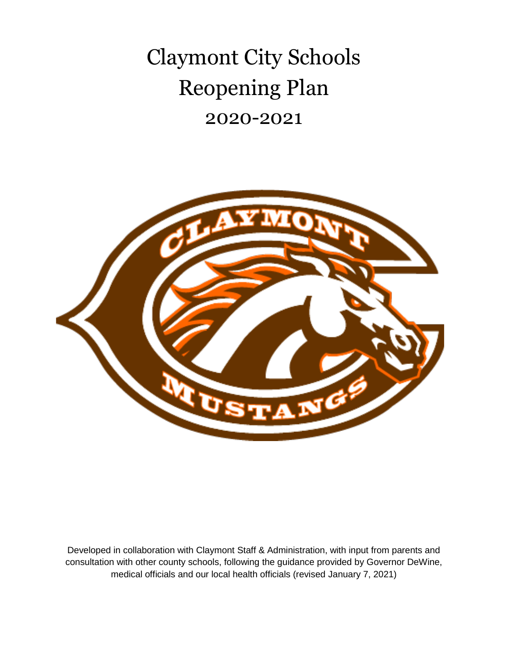Claymont City Schools Reopening Plan 2020-2021



Developed in collaboration with Claymont Staff & Administration, with input from parents and consultation with other county schools, following the guidance provided by Governor DeWine, medical officials and our local health officials (revised January 7, 2021)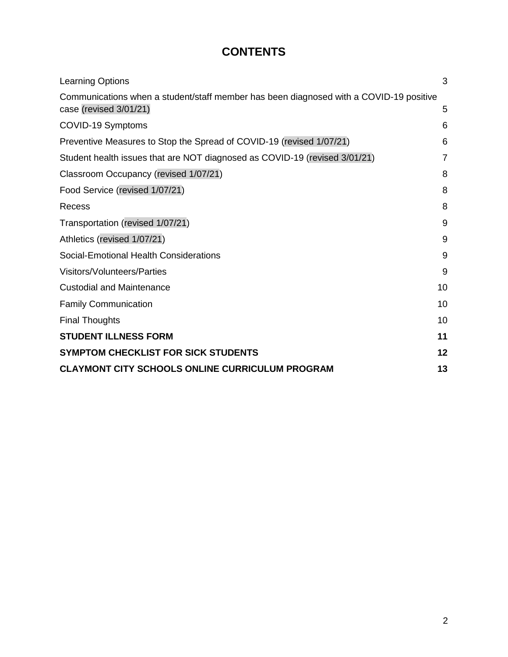## **CONTENTS**

| <b>Learning Options</b>                                                                | 3  |
|----------------------------------------------------------------------------------------|----|
| Communications when a student/staff member has been diagnosed with a COVID-19 positive |    |
| case (revised 3/01/21)                                                                 | 5  |
| COVID-19 Symptoms                                                                      | 6  |
| Preventive Measures to Stop the Spread of COVID-19 (revised 1/07/21)                   | 6  |
| Student health issues that are NOT diagnosed as COVID-19 (revised 3/01/21)             | 7  |
| Classroom Occupancy (revised 1/07/21)                                                  | 8  |
| Food Service (revised 1/07/21)                                                         | 8  |
| Recess                                                                                 | 8  |
| Transportation (revised 1/07/21)                                                       | 9  |
| Athletics (revised 1/07/21)                                                            | 9  |
| Social-Emotional Health Considerations                                                 | 9  |
| Visitors/Volunteers/Parties                                                            | 9  |
| <b>Custodial and Maintenance</b>                                                       | 10 |
| <b>Family Communication</b>                                                            | 10 |
| <b>Final Thoughts</b>                                                                  | 10 |
| <b>STUDENT ILLNESS FORM</b>                                                            | 11 |
| <b>SYMPTOM CHECKLIST FOR SICK STUDENTS</b>                                             | 12 |
| <b>CLAYMONT CITY SCHOOLS ONLINE CURRICULUM PROGRAM</b>                                 | 13 |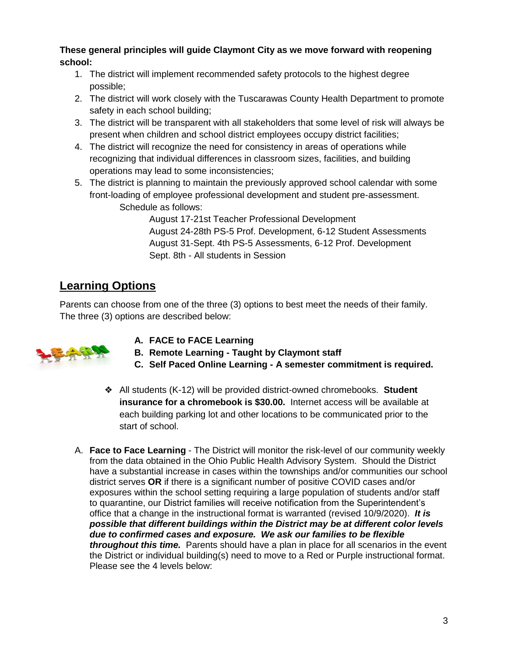**These general principles will guide Claymont City as we move forward with reopening school:**

- 1. The district will implement recommended safety protocols to the highest degree possible;
- 2. The district will work closely with the Tuscarawas County Health Department to promote safety in each school building;
- 3. The district will be transparent with all stakeholders that some level of risk will always be present when children and school district employees occupy district facilities;
- 4. The district will recognize the need for consistency in areas of operations while recognizing that individual differences in classroom sizes, facilities, and building operations may lead to some inconsistencies;
- 5. The district is planning to maintain the previously approved school calendar with some front-loading of employee professional development and student pre-assessment. Schedule as follows:

August 17-21st Teacher Professional Development August 24-28th PS-5 Prof. Development, 6-12 Student Assessments August 31-Sept. 4th PS-5 Assessments, 6-12 Prof. Development Sept. 8th - All students in Session

#### <span id="page-2-0"></span>**Learning Options**

Parents can choose from one of the three (3) options to best meet the needs of their family. The three (3) options are described below:



- **A. FACE to FACE Learning**
- **B. Remote Learning - Taught by Claymont staff**
- **C. Self Paced Online Learning - A semester commitment is required.**
- ❖ All students (K-12) will be provided district-owned chromebooks. **Student insurance for a chromebook is \$30.00.** Internet access will be available at each building parking lot and other locations to be communicated prior to the start of school.
- A. **Face to Face Learning** The District will monitor the risk-level of our community weekly from the data obtained in the Ohio Public Health Advisory System. Should the District have a substantial increase in cases within the townships and/or communities our school district serves **OR** if there is a significant number of positive COVID cases and/or exposures within the school setting requiring a large population of students and/or staff to quarantine, our District families will receive notification from the Superintendent's office that a change in the instructional format is warranted (revised 10/9/2020). *It is possible that different buildings within the District may be at different color levels due to confirmed cases and exposure. We ask our families to be flexible throughout this time.* Parents should have a plan in place for all scenarios in the event the District or individual building(s) need to move to a Red or Purple instructional format. Please see the 4 levels below: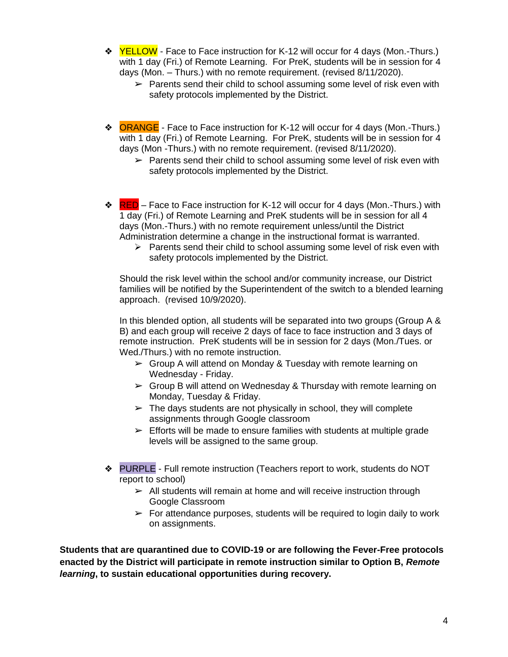- **❖** YELLOW Face to Face instruction for K-12 will occur for 4 days (Mon.-Thurs.) with 1 day (Fri.) of Remote Learning. For PreK, students will be in session for 4 days (Mon. – Thurs.) with no remote requirement. (revised 8/11/2020).
	- $\triangleright$  Parents send their child to school assuming some level of risk even with safety protocols implemented by the District.
- ❖ ORANGE Face to Face instruction for K-12 will occur for 4 days (Mon.-Thurs.) with 1 day (Fri.) of Remote Learning. For PreK, students will be in session for 4 days (Mon -Thurs.) with no remote requirement. (revised 8/11/2020).
	- $\triangleright$  Parents send their child to school assuming some level of risk even with safety protocols implemented by the District.
- $\triangleleft$  RED Face to Face instruction for K-12 will occur for 4 days (Mon.-Thurs.) with 1 day (Fri.) of Remote Learning and PreK students will be in session for all 4 days (Mon.-Thurs.) with no remote requirement unless/until the District Administration determine a change in the instructional format is warranted.
	- ➢ Parents send their child to school assuming some level of risk even with safety protocols implemented by the District.

Should the risk level within the school and/or community increase, our District families will be notified by the Superintendent of the switch to a blended learning approach. (revised 10/9/2020).

In this blended option, all students will be separated into two groups (Group A & B) and each group will receive 2 days of face to face instruction and 3 days of remote instruction. PreK students will be in session for 2 days (Mon./Tues. or Wed./Thurs.) with no remote instruction.

- $\triangleright$  Group A will attend on Monday & Tuesday with remote learning on Wednesday - Friday.
- $\triangleright$  Group B will attend on Wednesday & Thursday with remote learning on Monday, Tuesday & Friday.
- $\triangleright$  The days students are not physically in school, they will complete assignments through Google classroom
- $\triangleright$  Efforts will be made to ensure families with students at multiple grade levels will be assigned to the same group.
- ❖ PURPLE Full remote instruction (Teachers report to work, students do NOT report to school)
	- $\geq$  All students will remain at home and will receive instruction through Google Classroom
	- $\triangleright$  For attendance purposes, students will be required to login daily to work on assignments.

**Students that are quarantined due to COVID-19 or are following the Fever-Free protocols enacted by the District will participate in remote instruction similar to Option B,** *Remote learning***, to sustain educational opportunities during recovery.**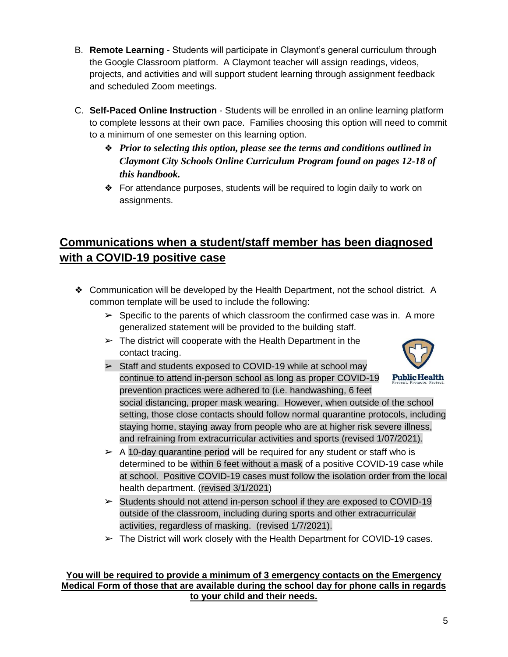- B. **Remote Learning**  Students will participate in Claymont's general curriculum through the Google Classroom platform. A Claymont teacher will assign readings, videos, projects, and activities and will support student learning through assignment feedback and scheduled Zoom meetings.
- C. **Self-Paced Online Instruction** Students will be enrolled in an online learning platform to complete lessons at their own pace. Families choosing this option will need to commit to a minimum of one semester on this learning option.
	- ❖ *Prior to selecting this option, please see the terms and conditions outlined in Claymont City Schools Online Curriculum Program found on pages 12-18 of this handbook.*
	- ❖ For attendance purposes, students will be required to login daily to work on assignments.

### <span id="page-4-0"></span>**Communications when a student/staff member has been diagnosed with a COVID-19 positive case**

- ❖ Communication will be developed by the Health Department, not the school district. A common template will be used to include the following:
	- $\triangleright$  Specific to the parents of which classroom the confirmed case was in. A more generalized statement will be provided to the building staff.
	- $\triangleright$  The district will cooperate with the Health Department in the contact tracing.
	- ➢ Staff and students exposed to COVID-19 while at school may continue to attend in-person school as long as proper COVID-19 **Public Health** prevention practices were adhered to (i.e. handwashing, 6 feet social distancing, proper mask wearing. However, when outside of the school setting, those close contacts should follow normal quarantine protocols, including staying home, staying away from people who are at higher risk severe illness, and refraining from extracurricular activities and sports (revised 1/07/2021).
	- $\triangleright$  A 10-day quarantine period will be required for any student or staff who is determined to be within 6 feet without a mask of a positive COVID-19 case while at school. Positive COVID-19 cases must follow the isolation order from the local health department. (revised 3/1/2021)
	- $\triangleright$  Students should not attend in-person school if they are exposed to COVID-19 outside of the classroom, including during sports and other extracurricular activities, regardless of masking. (revised 1/7/2021).
	- $\triangleright$  The District will work closely with the Health Department for COVID-19 cases.

#### **You will be required to provide a minimum of 3 emergency contacts on the Emergency Medical Form of those that are available during the school day for phone calls in regards to your child and their needs.**

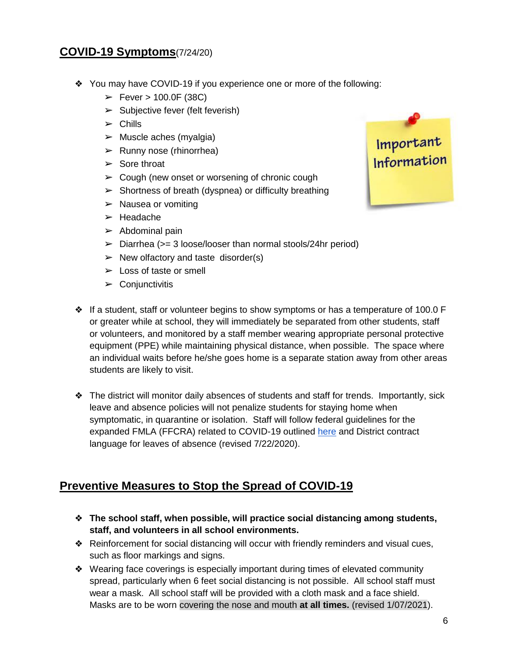#### <span id="page-5-0"></span>**COVID-19 Symptoms**(7/24/20)

- ❖ You may have COVID-19 if you experience one or more of the following:
	- $\triangleright$  Fever  $> 100.0$ F (38C)
	- $\triangleright$  Subjective fever (felt feverish)
	- $\triangleright$  Chills
	- $\triangleright$  Muscle aches (myalgia)
	- $\triangleright$  Runny nose (rhinorrhea)
	- $\triangleright$  Sore throat
	- $\geq$  Cough (new onset or worsening of chronic cough
	- $\triangleright$  Shortness of breath (dyspnea) or difficulty breathing
	- $\triangleright$  Nausea or vomiting
	- ➢ Headache
	- $\blacktriangleright$  Abdominal pain
	- $\triangleright$  Diarrhea ( $\triangleright$  3 loose/looser than normal stools/24hr period)
	- $\triangleright$  New olfactory and taste disorder(s)
	- $\blacktriangleright$  Loss of taste or smell
	- $\triangleright$  Conjunctivitis

Important<br>Information

- ❖ If a student, staff or volunteer begins to show symptoms or has a temperature of 100.0 F or greater while at school, they will immediately be separated from other students, staff or volunteers, and monitored by a staff member wearing appropriate personal protective equipment (PPE) while maintaining physical distance, when possible. The space where an individual waits before he/she goes home is a separate station away from other areas students are likely to visit.
- ❖ The district will monitor daily absences of students and staff for trends. Importantly, sick leave and absence policies will not penalize students for staying home when symptomatic, in quarantine or isolation. Staff will follow federal guidelines for the expanded FMLA (FFCRA) related to COVID-19 outlined [here](https://www.dol.gov/sites/dolgov/files/WHD/posters/FFCRA_Poster_WH1422_Non-Federal.pdf) and District contract language for leaves of absence (revised 7/22/2020).

#### <span id="page-5-1"></span>**Preventive Measures to Stop the Spread of COVID-19**

- ❖ **The school staff, when possible, will practice social distancing among students, staff, and volunteers in all school environments.**
- ❖ Reinforcement for social distancing will occur with friendly reminders and visual cues, such as floor markings and signs.
- ❖ Wearing face coverings is especially important during times of elevated community spread, particularly when 6 feet social distancing is not possible. All school staff must wear a mask. All school staff will be provided with a cloth mask and a face shield. Masks are to be worn covering the nose and mouth **at all times.** (revised 1/07/2021).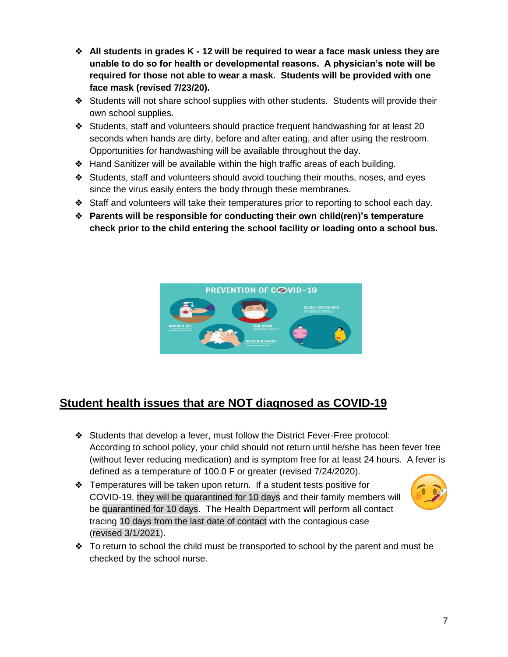- ❖ **All students in grades K - 12 will be required to wear a face mask unless they are unable to do so for health or developmental reasons. A physician's note will be required for those not able to wear a mask. Students will be provided with one face mask (revised 7/23/20).**
- ❖ Students will not share school supplies with other students. Students will provide their own school supplies.
- ❖ Students, staff and volunteers should practice frequent handwashing for at least 20 seconds when hands are dirty, before and after eating, and after using the restroom. Opportunities for handwashing will be available throughout the day.
- ❖ Hand Sanitizer will be available within the high traffic areas of each building.
- ❖ Students, staff and volunteers should avoid touching their mouths, noses, and eyes since the virus easily enters the body through these membranes.
- ❖ Staff and volunteers will take their temperatures prior to reporting to school each day.
- ❖ **Parents will be responsible for conducting their own child(ren)'s temperature check prior to the child entering the school facility or loading onto a school bus.**



#### <span id="page-6-0"></span>**Student health issues that are NOT diagnosed as COVID-19**

- ❖ Students that develop a fever, must follow the District Fever-Free protocol: According to school policy, your child should not return until he/she has been fever free (without fever reducing medication) and is symptom free for at least 24 hours. A fever is defined as a temperature of 100.0 F or greater (revised 7/24/2020).
- ❖ Temperatures will be taken upon return. If a student tests positive for COVID-19, they will be quarantined for 10 days and their family members will be quarantined for 10 days. The Health Department will perform all contact tracing 10 days from the last date of contact with the contagious case (revised 3/1/2021).



❖ To return to school the child must be transported to school by the parent and must be checked by the school nurse.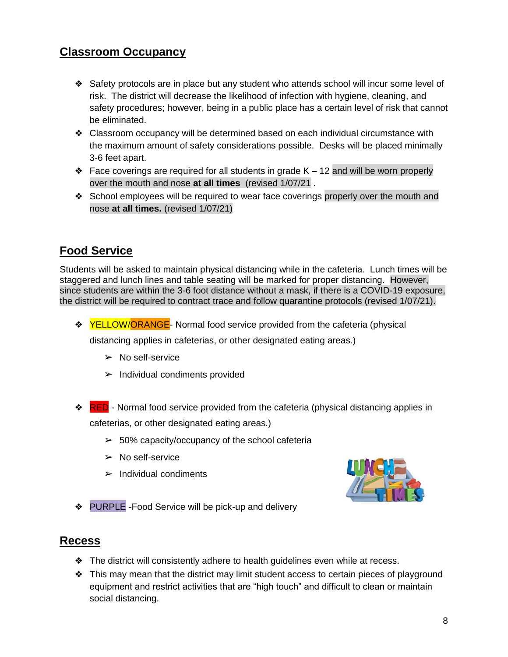#### <span id="page-7-0"></span>**Classroom Occupancy**

- ❖ Safety protocols are in place but any student who attends school will incur some level of risk. The district will decrease the likelihood of infection with hygiene, cleaning, and safety procedures; however, being in a public place has a certain level of risk that cannot be eliminated.
- ❖ Classroom occupancy will be determined based on each individual circumstance with the maximum amount of safety considerations possible. Desks will be placed minimally 3-6 feet apart.
- $\triangle$  Face coverings are required for all students in grade K 12 and will be worn properly over the mouth and nose **at all times** (revised 1/07/21 .
- ❖ School employees will be required to wear face coverings properly over the mouth and nose **at all times.** (revised 1/07/21)

#### <span id="page-7-1"></span>**Food Service**

Students will be asked to maintain physical distancing while in the cafeteria. Lunch times will be staggered and lunch lines and table seating will be marked for proper distancing. However, since students are within the 3-6 foot distance without a mask, if there is a COVID-19 exposure, the district will be required to contract trace and follow quarantine protocols (revised 1/07/21).

**❖** YELLOW/ORANGE- Normal food service provided from the cafeteria (physical

distancing applies in cafeterias, or other designated eating areas.)

- $\triangleright$  No self-service
- $\blacktriangleright$  Individual condiments provided
- **❖ RED** Normal food service provided from the cafeteria (physical distancing applies in cafeterias, or other designated eating areas.)
	- $\geq 50\%$  capacity/occupancy of the school cafeteria
	- $\triangleright$  No self-service
	- $\blacktriangleright$  Individual condiments



❖ PURPLE -Food Service will be pick-up and delivery

#### <span id="page-7-2"></span>**Recess**

- ❖ The district will consistently adhere to health guidelines even while at recess.
- ❖ This may mean that the district may limit student access to certain pieces of playground equipment and restrict activities that are "high touch" and difficult to clean or maintain social distancing.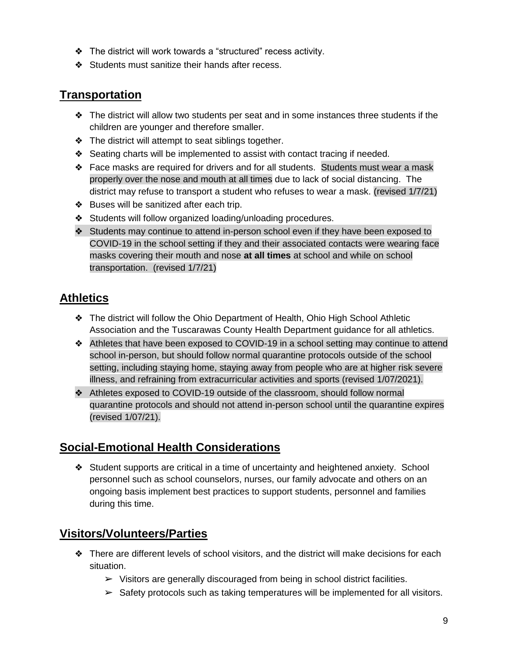- ❖ The district will work towards a "structured" recess activity.
- ❖ Students must sanitize their hands after recess.

#### <span id="page-8-0"></span>**Transportation**

- ❖ The district will allow two students per seat and in some instances three students if the children are younger and therefore smaller.
- ❖ The district will attempt to seat siblings together.
- ❖ Seating charts will be implemented to assist with contact tracing if needed.
- ❖ Face masks are required for drivers and for all students. Students must wear a mask properly over the nose and mouth at all times due to lack of social distancing. The district may refuse to transport a student who refuses to wear a mask. (revised 1/7/21)
- ❖ Buses will be sanitized after each trip.
- ❖ Students will follow organized loading/unloading procedures.
- ❖ Students may continue to attend in-person school even if they have been exposed to COVID-19 in the school setting if they and their associated contacts were wearing face masks covering their mouth and nose **at all times** at school and while on school transportation. (revised 1/7/21)

#### <span id="page-8-1"></span>**Athletics**

- ❖ The district will follow the Ohio Department of Health, Ohio High School Athletic Association and the Tuscarawas County Health Department guidance for all athletics.
- ❖ Athletes that have been exposed to COVID-19 in a school setting may continue to attend school in-person, but should follow normal quarantine protocols outside of the school setting, including staying home, staying away from people who are at higher risk severe illness, and refraining from extracurricular activities and sports (revised 1/07/2021).
- ❖ Athletes exposed to COVID-19 outside of the classroom, should follow normal quarantine protocols and should not attend in-person school until the quarantine expires (revised 1/07/21).

#### <span id="page-8-2"></span>**Social-Emotional Health Considerations**

❖ Student supports are critical in a time of uncertainty and heightened anxiety. School personnel such as school counselors, nurses, our family advocate and others on an ongoing basis implement best practices to support students, personnel and families during this time.

#### <span id="page-8-3"></span>**Visitors/Volunteers/Parties**

- ❖ There are different levels of school visitors, and the district will make decisions for each situation.
	- $\triangleright$  Visitors are generally discouraged from being in school district facilities.
	- $\triangleright$  Safety protocols such as taking temperatures will be implemented for all visitors.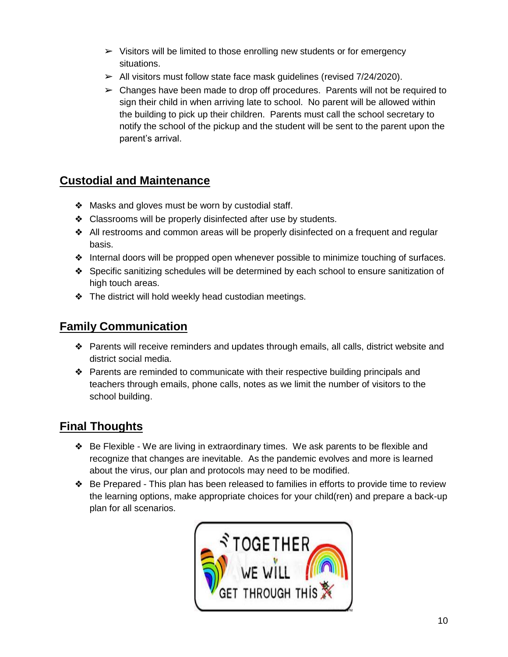- $\triangleright$  Visitors will be limited to those enrolling new students or for emergency situations.
- $\triangleright$  All visitors must follow state face mask guidelines (revised 7/24/2020).
- $\triangleright$  Changes have been made to drop off procedures. Parents will not be required to sign their child in when arriving late to school. No parent will be allowed within the building to pick up their children. Parents must call the school secretary to notify the school of the pickup and the student will be sent to the parent upon the parent's arrival.

#### <span id="page-9-0"></span>**Custodial and Maintenance**

- ❖ Masks and gloves must be worn by custodial staff.
- ❖ Classrooms will be properly disinfected after use by students.
- ❖ All restrooms and common areas will be properly disinfected on a frequent and regular basis.
- ❖ Internal doors will be propped open whenever possible to minimize touching of surfaces.
- ❖ Specific sanitizing schedules will be determined by each school to ensure sanitization of high touch areas.
- ❖ The district will hold weekly head custodian meetings.

#### <span id="page-9-1"></span>**Family Communication**

- ❖ Parents will receive reminders and updates through emails, all calls, district website and district social media.
- ❖ Parents are reminded to communicate with their respective building principals and teachers through emails, phone calls, notes as we limit the number of visitors to the school building.

#### <span id="page-9-2"></span>**Final Thoughts**

- ❖ Be Flexible We are living in extraordinary times. We ask parents to be flexible and recognize that changes are inevitable. As the pandemic evolves and more is learned about the virus, our plan and protocols may need to be modified.
- ❖ Be Prepared This plan has been released to families in efforts to provide time to review the learning options, make appropriate choices for your child(ren) and prepare a back-up plan for all scenarios.

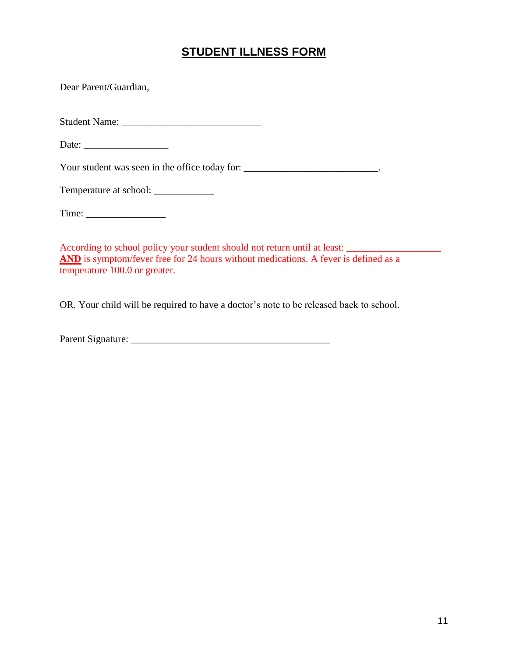#### **STUDENT ILLNESS FORM**

<span id="page-10-0"></span>Dear Parent/Guardian,

Student Name: \_\_\_\_\_\_\_\_\_\_\_\_\_\_\_\_\_\_\_\_\_\_\_\_\_\_\_\_

Date:

Your student was seen in the office today for: \_\_\_\_\_\_\_\_\_\_\_\_\_\_\_\_\_\_\_\_\_\_\_\_\_\_\_\_\_\_\_\_\_.

Temperature at school: \_\_\_\_\_\_\_\_\_\_\_\_

According to school policy your student should not return until at least: \_\_\_\_\_\_\_\_\_\_\_\_\_\_\_\_\_\_\_ AND is symptom/fever free for 24 hours without medications. A fever is defined as a temperature 100.0 or greater.

OR. Your child will be required to have a doctor's note to be released back to school.

Parent Signature: \_\_\_\_\_\_\_\_\_\_\_\_\_\_\_\_\_\_\_\_\_\_\_\_\_\_\_\_\_\_\_\_\_\_\_\_\_\_\_\_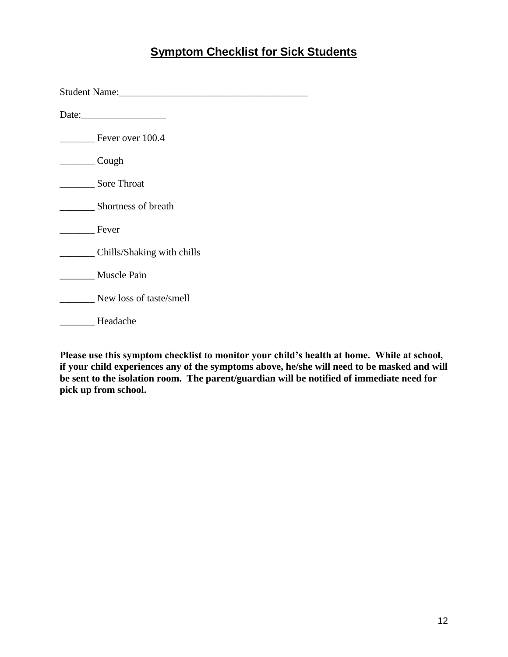#### **Symptom Checklist for Sick Students**

<span id="page-11-0"></span>

| Student Name: Name and Student Name and Student Name and Student Name and Student Name and Student Student Student Student Student Student Student Student Student Student Student Student Student Student Student Student Stu |  |  |  |  |
|--------------------------------------------------------------------------------------------------------------------------------------------------------------------------------------------------------------------------------|--|--|--|--|
| Date: $\frac{1}{2}$ Date:                                                                                                                                                                                                      |  |  |  |  |
| Fever over 100.4                                                                                                                                                                                                               |  |  |  |  |
| Cough                                                                                                                                                                                                                          |  |  |  |  |
| <b>Sore Throat</b>                                                                                                                                                                                                             |  |  |  |  |
| Shortness of breath                                                                                                                                                                                                            |  |  |  |  |
| Fever                                                                                                                                                                                                                          |  |  |  |  |
| Chills/Shaking with chills                                                                                                                                                                                                     |  |  |  |  |
| Muscle Pain                                                                                                                                                                                                                    |  |  |  |  |
| New loss of taste/smell                                                                                                                                                                                                        |  |  |  |  |
| Headache                                                                                                                                                                                                                       |  |  |  |  |

**Please use this symptom checklist to monitor your child's health at home. While at school, if your child experiences any of the symptoms above, he/she will need to be masked and will be sent to the isolation room. The parent/guardian will be notified of immediate need for pick up from school.**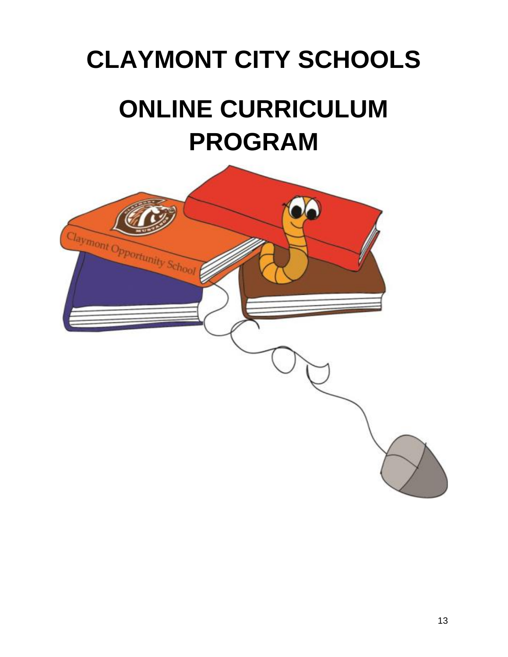# <span id="page-12-0"></span>**CLAYMONT CITY SCHOOLS ONLINE CURRICULUM PROGRAM**

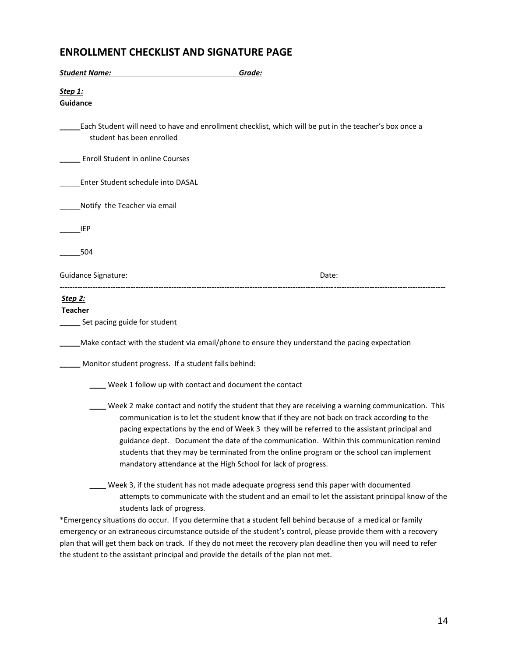#### **ENROLLMENT CHECKLIST AND SIGNATURE PAGE**

| <b>Student Name:</b>                                             | Grade:                                                                                                                                                                                                                                                                                                                                                                                                                                                                                                                                                    |  |
|------------------------------------------------------------------|-----------------------------------------------------------------------------------------------------------------------------------------------------------------------------------------------------------------------------------------------------------------------------------------------------------------------------------------------------------------------------------------------------------------------------------------------------------------------------------------------------------------------------------------------------------|--|
| <u>Step 1:</u><br>Guidance                                       |                                                                                                                                                                                                                                                                                                                                                                                                                                                                                                                                                           |  |
| student has been enrolled                                        | Each Student will need to have and enrollment checklist, which will be put in the teacher's box once a                                                                                                                                                                                                                                                                                                                                                                                                                                                    |  |
| Enroll Student in online Courses                                 |                                                                                                                                                                                                                                                                                                                                                                                                                                                                                                                                                           |  |
| Enter Student schedule into DASAL                                |                                                                                                                                                                                                                                                                                                                                                                                                                                                                                                                                                           |  |
| Notify the Teacher via email                                     |                                                                                                                                                                                                                                                                                                                                                                                                                                                                                                                                                           |  |
| <b>IEP</b>                                                       |                                                                                                                                                                                                                                                                                                                                                                                                                                                                                                                                                           |  |
| 504                                                              |                                                                                                                                                                                                                                                                                                                                                                                                                                                                                                                                                           |  |
| <b>Guidance Signature:</b>                                       | Date:                                                                                                                                                                                                                                                                                                                                                                                                                                                                                                                                                     |  |
| <u>Step 2:</u><br><b>Teacher</b><br>Set pacing guide for student |                                                                                                                                                                                                                                                                                                                                                                                                                                                                                                                                                           |  |
|                                                                  | Make contact with the student via email/phone to ensure they understand the pacing expectation                                                                                                                                                                                                                                                                                                                                                                                                                                                            |  |
| Monitor student progress. If a student falls behind:             |                                                                                                                                                                                                                                                                                                                                                                                                                                                                                                                                                           |  |
|                                                                  | Week 1 follow up with contact and document the contact                                                                                                                                                                                                                                                                                                                                                                                                                                                                                                    |  |
|                                                                  | Week 2 make contact and notify the student that they are receiving a warning communication. This<br>communication is to let the student know that if they are not back on track according to the<br>pacing expectations by the end of Week 3 they will be referred to the assistant principal and<br>guidance dept. Document the date of the communication. Within this communication remind<br>students that they may be terminated from the online program or the school can implement<br>mandatory attendance at the High School for lack of progress. |  |
| students lack of progress.                                       | Week 3, if the student has not made adequate progress send this paper with documented<br>attempts to communicate with the student and an email to let the assistant principal know of the<br>*Emergency situations do occur. If you determine that a student fell behind because of a medical or family<br>emergency or an extraneous circumstance outside of the student's control, please provide them with a recovery                                                                                                                                  |  |

plan that will get them back on track. If they do not meet the recovery plan deadline then you will need to refer the student to the assistant principal and provide the details of the plan not met.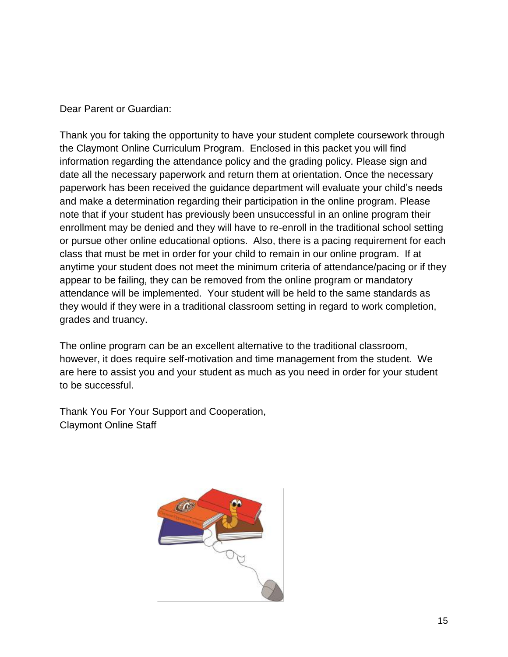Dear Parent or Guardian:

Thank you for taking the opportunity to have your student complete coursework through the Claymont Online Curriculum Program. Enclosed in this packet you will find information regarding the attendance policy and the grading policy. Please sign and date all the necessary paperwork and return them at orientation. Once the necessary paperwork has been received the guidance department will evaluate your child's needs and make a determination regarding their participation in the online program. Please note that if your student has previously been unsuccessful in an online program their enrollment may be denied and they will have to re-enroll in the traditional school setting or pursue other online educational options. Also, there is a pacing requirement for each class that must be met in order for your child to remain in our online program. If at anytime your student does not meet the minimum criteria of attendance/pacing or if they appear to be failing, they can be removed from the online program or mandatory attendance will be implemented. Your student will be held to the same standards as they would if they were in a traditional classroom setting in regard to work completion, grades and truancy.

The online program can be an excellent alternative to the traditional classroom, however, it does require self-motivation and time management from the student. We are here to assist you and your student as much as you need in order for your student to be successful.

Thank You For Your Support and Cooperation, Claymont Online Staff

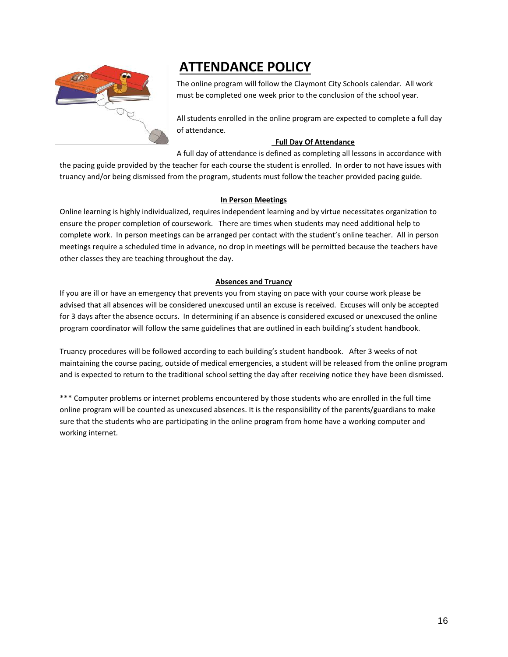

# **ATTENDANCE POLICY**

The online program will follow the Claymont City Schools calendar. All work must be completed one week prior to the conclusion of the school year.

All students enrolled in the online program are expected to complete a full day of attendance.

#### **Full Day Of Attendance**

A full day of attendance is defined as completing all lessons in accordance with the pacing guide provided by the teacher for each course the student is enrolled. In order to not have issues with truancy and/or being dismissed from the program, students must follow the teacher provided pacing guide.

#### **In Person Meetings**

Online learning is highly individualized, requires independent learning and by virtue necessitates organization to ensure the proper completion of coursework. There are times when students may need additional help to complete work. In person meetings can be arranged per contact with the student's online teacher. All in person meetings require a scheduled time in advance, no drop in meetings will be permitted because the teachers have other classes they are teaching throughout the day.

#### **Absences and Truancy**

If you are ill or have an emergency that prevents you from staying on pace with your course work please be advised that all absences will be considered unexcused until an excuse is received. Excuses will only be accepted for 3 days after the absence occurs. In determining if an absence is considered excused or unexcused the online program coordinator will follow the same guidelines that are outlined in each building's student handbook.

Truancy procedures will be followed according to each building's student handbook. After 3 weeks of not maintaining the course pacing, outside of medical emergencies, a student will be released from the online program and is expected to return to the traditional school setting the day after receiving notice they have been dismissed.

\*\*\* Computer problems or internet problems encountered by those students who are enrolled in the full time online program will be counted as unexcused absences. It is the responsibility of the parents/guardians to make sure that the students who are participating in the online program from home have a working computer and working internet.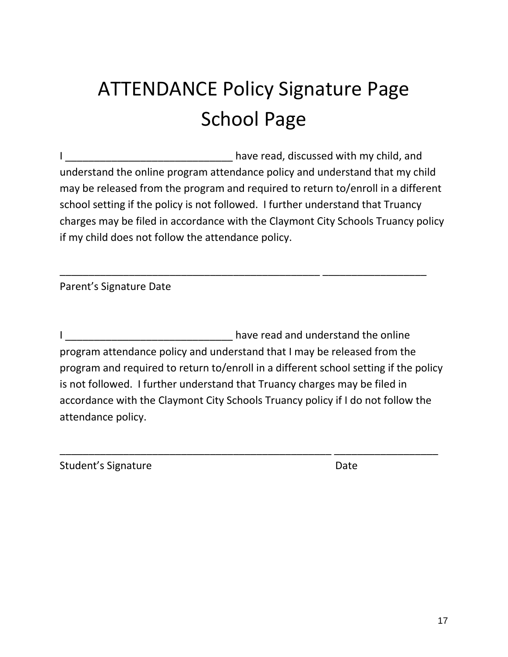# ATTENDANCE Policy Signature Page School Page

I consider the same of the basic have read, discussed with my child, and understand the online program attendance policy and understand that my child may be released from the program and required to return to/enroll in a different school setting if the policy is not followed. I further understand that Truancy charges may be filed in accordance with the Claymont City Schools Truancy policy if my child does not follow the attendance policy.

\_\_\_\_\_\_\_\_\_\_\_\_\_\_\_\_\_\_\_\_\_\_\_\_\_\_\_\_\_\_\_\_\_\_\_\_\_\_\_\_\_\_\_\_\_ \_\_\_\_\_\_\_\_\_\_\_\_\_\_\_\_\_\_

Parent's Signature Date

I \_\_\_\_\_\_\_\_\_\_\_\_\_\_\_\_\_\_\_\_\_\_\_\_\_\_\_\_\_ have read and understand the online program attendance policy and understand that I may be released from the program and required to return to/enroll in a different school setting if the policy is not followed. I further understand that Truancy charges may be filed in accordance with the Claymont City Schools Truancy policy if I do not follow the attendance policy.

\_\_\_\_\_\_\_\_\_\_\_\_\_\_\_\_\_\_\_\_\_\_\_\_\_\_\_\_\_\_\_\_\_\_\_\_\_\_\_\_\_\_\_\_\_\_\_ \_\_\_\_\_\_\_\_\_\_\_\_\_\_\_\_\_\_

Student's Signature **Date** Date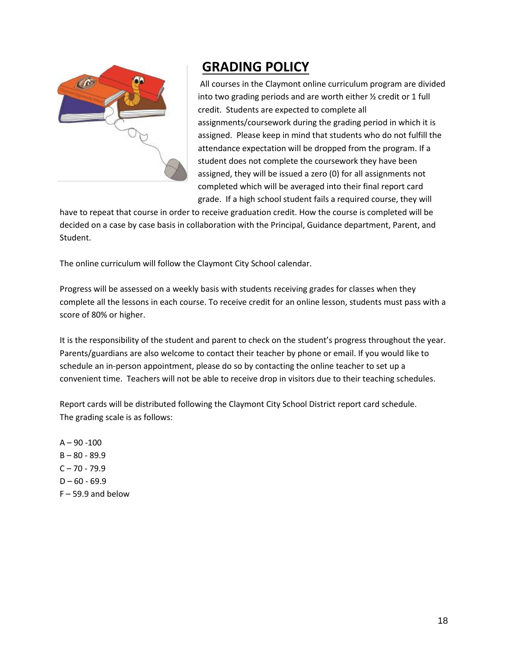

## **GRADING POLICY**

All courses in the Claymont online curriculum program are divided into two grading periods and are worth either ½ credit or 1 full credit. Students are expected to complete all assignments/coursework during the grading period in which it is assigned. Please keep in mind that students who do not fulfill the attendance expectation will be dropped from the program. If a student does not complete the coursework they have been assigned, they will be issued a zero (0) for all assignments not completed which will be averaged into their final report card grade. If a high school student fails a required course, they will

have to repeat that course in order to receive graduation credit. How the course is completed will be decided on a case by case basis in collaboration with the Principal, Guidance department, Parent, and Student.

The online curriculum will follow the Claymont City School calendar.

Progress will be assessed on a weekly basis with students receiving grades for classes when they complete all the lessons in each course. To receive credit for an online lesson, students must pass with a score of 80% or higher.

It is the responsibility of the student and parent to check on the student's progress throughout the year. Parents/guardians are also welcome to contact their teacher by phone or email. If you would like to schedule an in-person appointment, please do so by contacting the online teacher to set up a convenient time. Teachers will not be able to receive drop in visitors due to their teaching schedules.

Report cards will be distributed following the Claymont City School District report card schedule. The grading scale is as follows:

 $A - 90 - 100$  $B - 80 - 89.9$  $C - 70 - 79.9$  $D - 60 - 69.9$  $F - 59.9$  and below